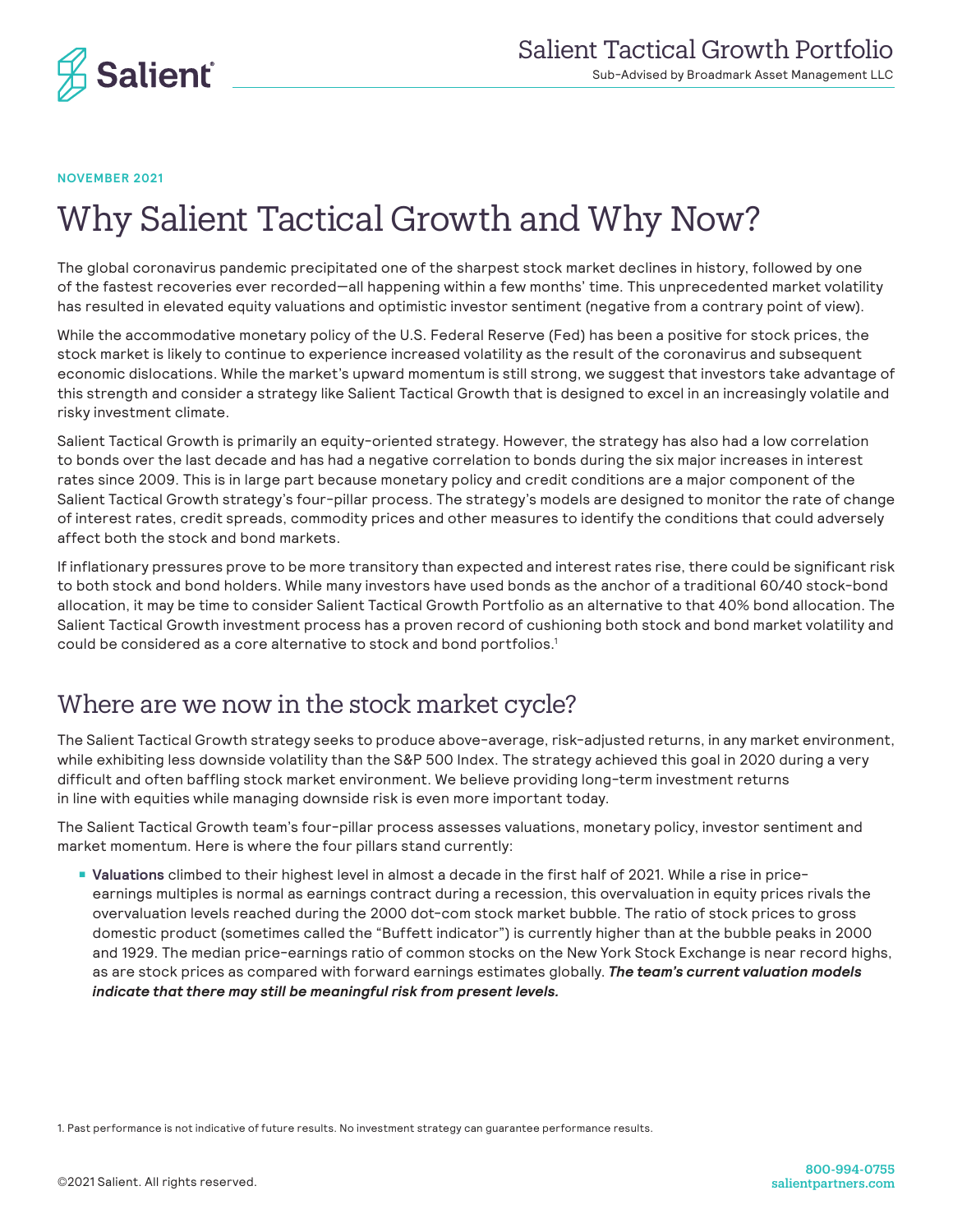

**NOVEMBER 2021**

# Why Salient Tactical Growth and Why Now?

The global coronavirus pandemic precipitated one of the sharpest stock market declines in history, followed by one of the fastest recoveries ever recorded—all happening within a few months' time. This unprecedented market volatility has resulted in elevated equity valuations and optimistic investor sentiment (negative from a contrary point of view).

While the accommodative monetary policy of the U.S. Federal Reserve (Fed) has been a positive for stock prices, the stock market is likely to continue to experience increased volatility as the result of the coronavirus and subsequent economic dislocations. While the market's upward momentum is still strong, we suggest that investors take advantage of this strength and consider a strategy like Salient Tactical Growth that is designed to excel in an increasingly volatile and risky investment climate.

Salient Tactical Growth is primarily an equity-oriented strategy. However, the strategy has also had a low correlation to bonds over the last decade and has had a negative correlation to bonds during the six major increases in interest rates since 2009. This is in large part because monetary policy and credit conditions are a major component of the Salient Tactical Growth strategy's four-pillar process. The strategy's models are designed to monitor the rate of change of interest rates, credit spreads, commodity prices and other measures to identify the conditions that could adversely affect both the stock and bond markets.

If inflationary pressures prove to be more transitory than expected and interest rates rise, there could be significant risk to both stock and bond holders. While many investors have used bonds as the anchor of a traditional 60/40 stock-bond allocation, it may be time to consider Salient Tactical Growth Portfolio as an alternative to that 40% bond allocation. The Salient Tactical Growth investment process has a proven record of cushioning both stock and bond market volatility and could be considered as a core alternative to stock and bond portfolios.<sup>1</sup>

#### Where are we now in the stock market cycle?

The Salient Tactical Growth strategy seeks to produce above-average, risk-adjusted returns, in any market environment, while exhibiting less downside volatility than the S&P 500 Index. The strategy achieved this goal in 2020 during a very difficult and often baffling stock market environment. We believe providing long-term investment returns in line with equities while managing downside risk is even more important today.

The Salient Tactical Growth team's four-pillar process assesses valuations, monetary policy, investor sentiment and market momentum. Here is where the four pillars stand currently:

■ **Valuations** climbed to their highest level in almost a decade in the first half of 2021. While a rise in priceearnings multiples is normal as earnings contract during a recession, this overvaluation in equity prices rivals the overvaluation levels reached during the 2000 dot-com stock market bubble. The ratio of stock prices to gross domestic product (sometimes called the "Buffett indicator") is currently higher than at the bubble peaks in 2000 and 1929. The median price-earnings ratio of common stocks on the New York Stock Exchange is near record highs, as are stock prices as compared with forward earnings estimates globally. *The team's current valuation models indicate that there may still be meaningful risk from present levels.*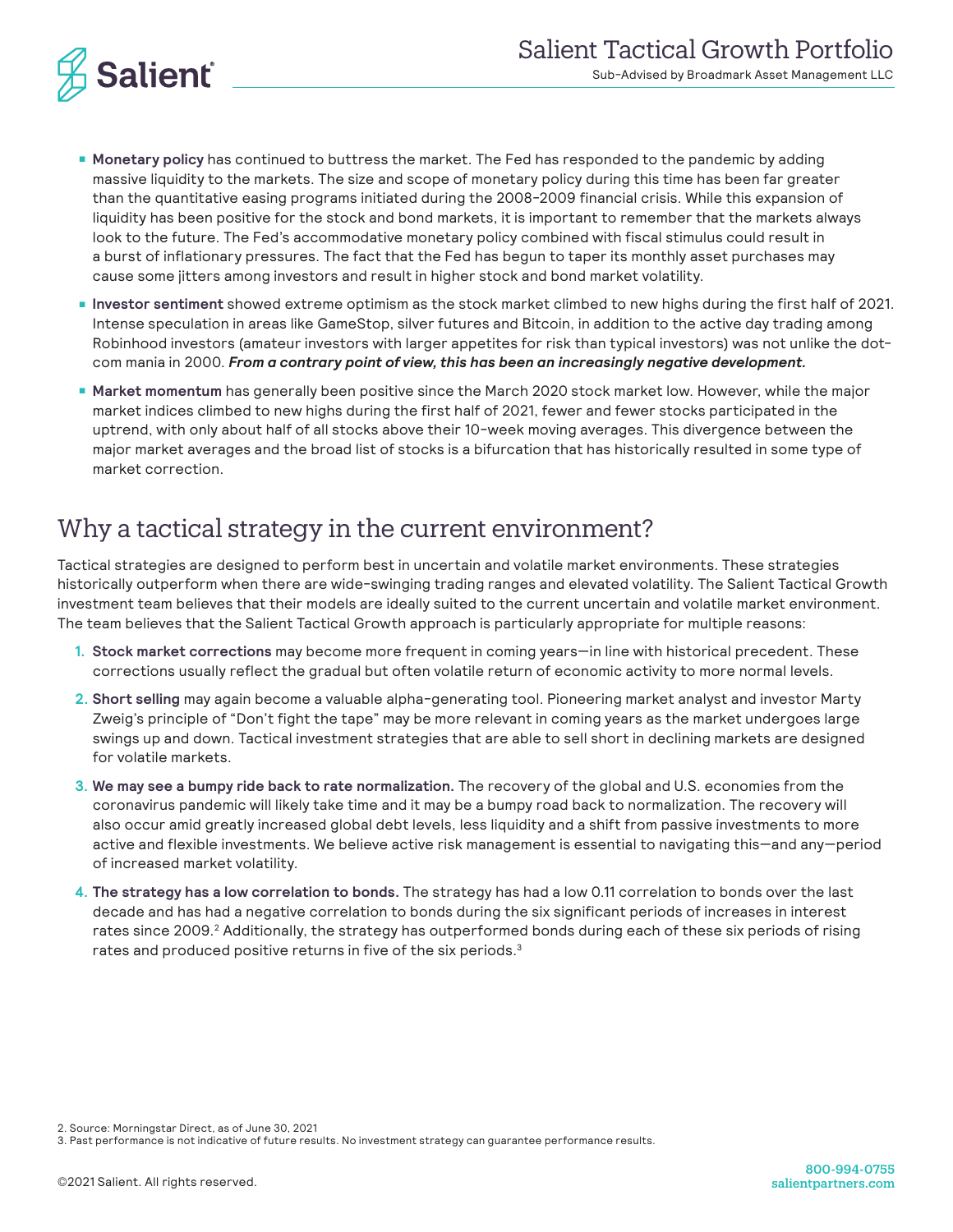

- **Monetary policy** has continued to buttress the market. The Fed has responded to the pandemic by adding massive liquidity to the markets. The size and scope of monetary policy during this time has been far greater than the quantitative easing programs initiated during the 2008-2009 financial crisis. While this expansion of liquidity has been positive for the stock and bond markets, it is important to remember that the markets always look to the future. The Fed's accommodative monetary policy combined with fiscal stimulus could result in a burst of inflationary pressures. The fact that the Fed has begun to taper its monthly asset purchases may cause some jitters among investors and result in higher stock and bond market volatility.
- **Investor sentiment** showed extreme optimism as the stock market climbed to new highs during the first half of 2021. Intense speculation in areas like GameStop, silver futures and Bitcoin, in addition to the active day trading among Robinhood investors (amateur investors with larger appetites for risk than typical investors) was not unlike the dotcom mania in 2000. *From a contrary point of view, this has been an increasingly negative development.*
- **Market momentum** has generally been positive since the March 2020 stock market low. However, while the major market indices climbed to new highs during the first half of 2021, fewer and fewer stocks participated in the uptrend, with only about half of all stocks above their 10-week moving averages. This divergence between the major market averages and the broad list of stocks is a bifurcation that has historically resulted in some type of market correction.

#### Why a tactical strategy in the current environment?

Tactical strategies are designed to perform best in uncertain and volatile market environments. These strategies historically outperform when there are wide-swinging trading ranges and elevated volatility. The Salient Tactical Growth investment team believes that their models are ideally suited to the current uncertain and volatile market environment. The team believes that the Salient Tactical Growth approach is particularly appropriate for multiple reasons:

- **1. Stock market corrections** may become more frequent in coming years—in line with historical precedent. These corrections usually reflect the gradual but often volatile return of economic activity to more normal levels.
- **2. Short selling** may again become a valuable alpha-generating tool. Pioneering market analyst and investor Marty Zweig's principle of "Don't fight the tape" may be more relevant in coming years as the market undergoes large swings up and down. Tactical investment strategies that are able to sell short in declining markets are designed for volatile markets.
- **3. We may see a bumpy ride back to rate normalization.** The recovery of the global and U.S. economies from the coronavirus pandemic will likely take time and it may be a bumpy road back to normalization. The recovery will also occur amid greatly increased global debt levels, less liquidity and a shift from passive investments to more active and flexible investments. We believe active risk management is essential to navigating this—and any—period of increased market volatility.
- **4. The strategy has a low correlation to bonds.** The strategy has had a low 0.11 correlation to bonds over the last decade and has had a negative correlation to bonds during the six significant periods of increases in interest rates since 2009.<sup>2</sup> Additionally, the strategy has outperformed bonds during each of these six periods of rising rates and produced positive returns in five of the six periods.<sup>3</sup>

2. Source: Morningstar Direct, as of June 30, 2021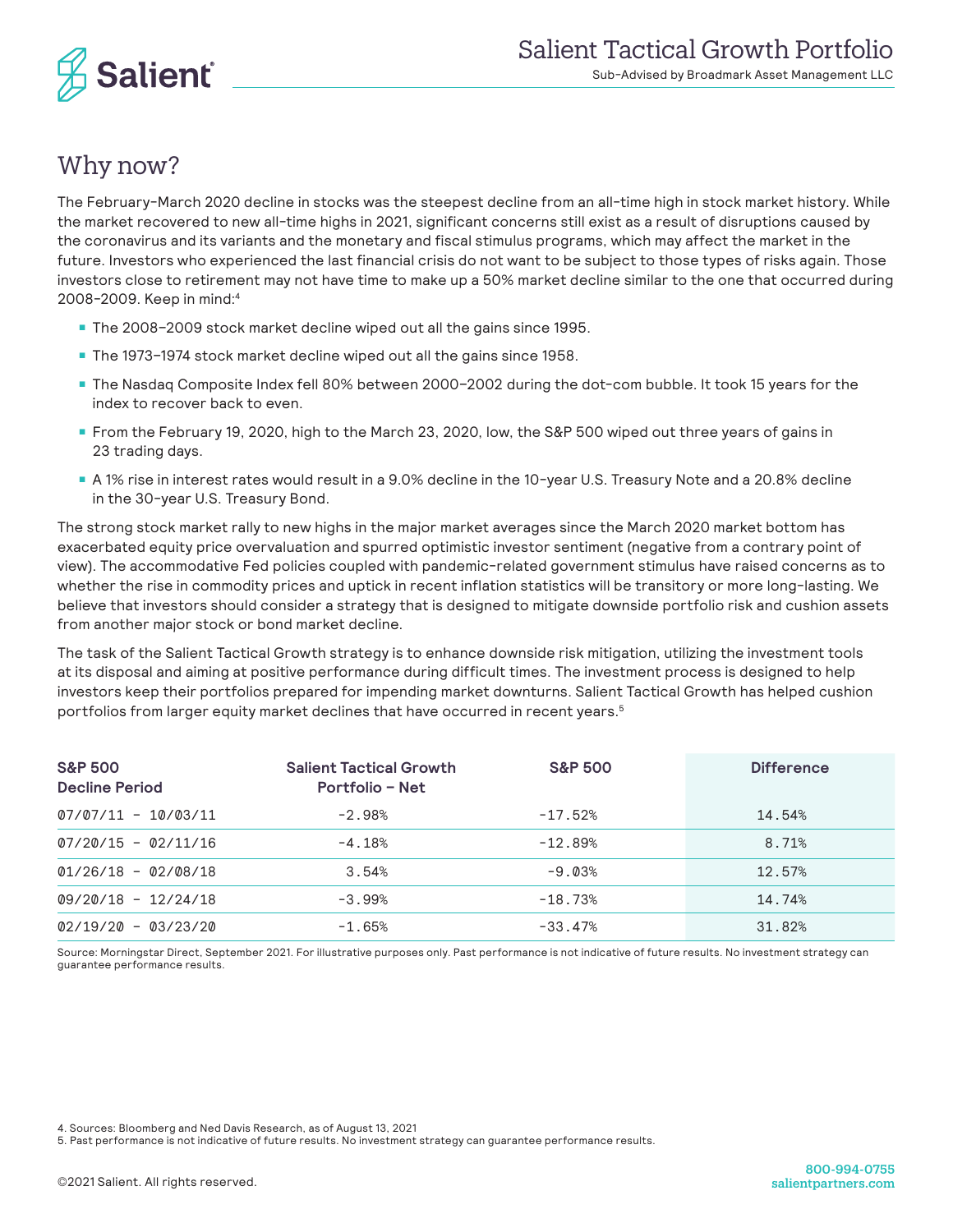

### Why now?

The February-March 2020 decline in stocks was the steepest decline from an all-time high in stock market history. While the market recovered to new all-time highs in 2021, significant concerns still exist as a result of disruptions caused by the coronavirus and its variants and the monetary and fiscal stimulus programs, which may affect the market in the future. Investors who experienced the last financial crisis do not want to be subject to those types of risks again. Those investors close to retirement may not have time to make up a 50% market decline similar to the one that occurred during 2008-2009. Keep in mind:4

- The 2008–2009 stock market decline wiped out all the gains since 1995.
- The 1973-1974 stock market decline wiped out all the gains since 1958.
- The Nasdaq Composite Index fell 80% between 2000–2002 during the dot-com bubble. It took 15 years for the index to recover back to even.
- From the February 19, 2020, high to the March 23, 2020, low, the S&P 500 wiped out three years of gains in 23 trading days.
- A 1% rise in interest rates would result in a 9.0% decline in the 10-year U.S. Treasury Note and a 20.8% decline in the 30-year U.S. Treasury Bond.

The strong stock market rally to new highs in the major market averages since the March 2020 market bottom has exacerbated equity price overvaluation and spurred optimistic investor sentiment (negative from a contrary point of view). The accommodative Fed policies coupled with pandemic-related government stimulus have raised concerns as to whether the rise in commodity prices and uptick in recent inflation statistics will be transitory or more long-lasting. We believe that investors should consider a strategy that is designed to mitigate downside portfolio risk and cushion assets from another major stock or bond market decline.

The task of the Salient Tactical Growth strategy is to enhance downside risk mitigation, utilizing the investment tools at its disposal and aiming at positive performance during difficult times. The investment process is designed to help investors keep their portfolios prepared for impending market downturns. Salient Tactical Growth has helped cushion portfolios from larger equity market declines that have occurred in recent years.<sup>5</sup>

| <b>S&amp;P 500</b><br><b>Decline Period</b> | <b>S&amp;P 500</b><br><b>Salient Tactical Growth</b><br>Portfolio - Net |           | <b>Difference</b> |  |  |
|---------------------------------------------|-------------------------------------------------------------------------|-----------|-------------------|--|--|
| $07/07/11 - 10/03/11$                       | $-2.98%$                                                                | $-17.52%$ | 14.54%            |  |  |
| $07/20/15 - 02/11/16$                       | $-4.18%$                                                                | $-12.89%$ | 8.71%             |  |  |
| $01/26/18 - 02/08/18$                       | 3.54%                                                                   | $-9.03%$  | 12.57%            |  |  |
| $09/20/18 - 12/24/18$                       | $-3.99%$                                                                | $-18.73%$ | 14.74%            |  |  |
| $02/19/20 - 03/23/20$                       | $-1.65%$                                                                | $-33.47%$ | 31.82%            |  |  |

Source: Morningstar Direct, September 2021. For illustrative purposes only. Past performance is not indicative of future results. No investment strategy can guarantee performance results.

4. Sources: Bloomberg and Ned Davis Research, as of August 13, 2021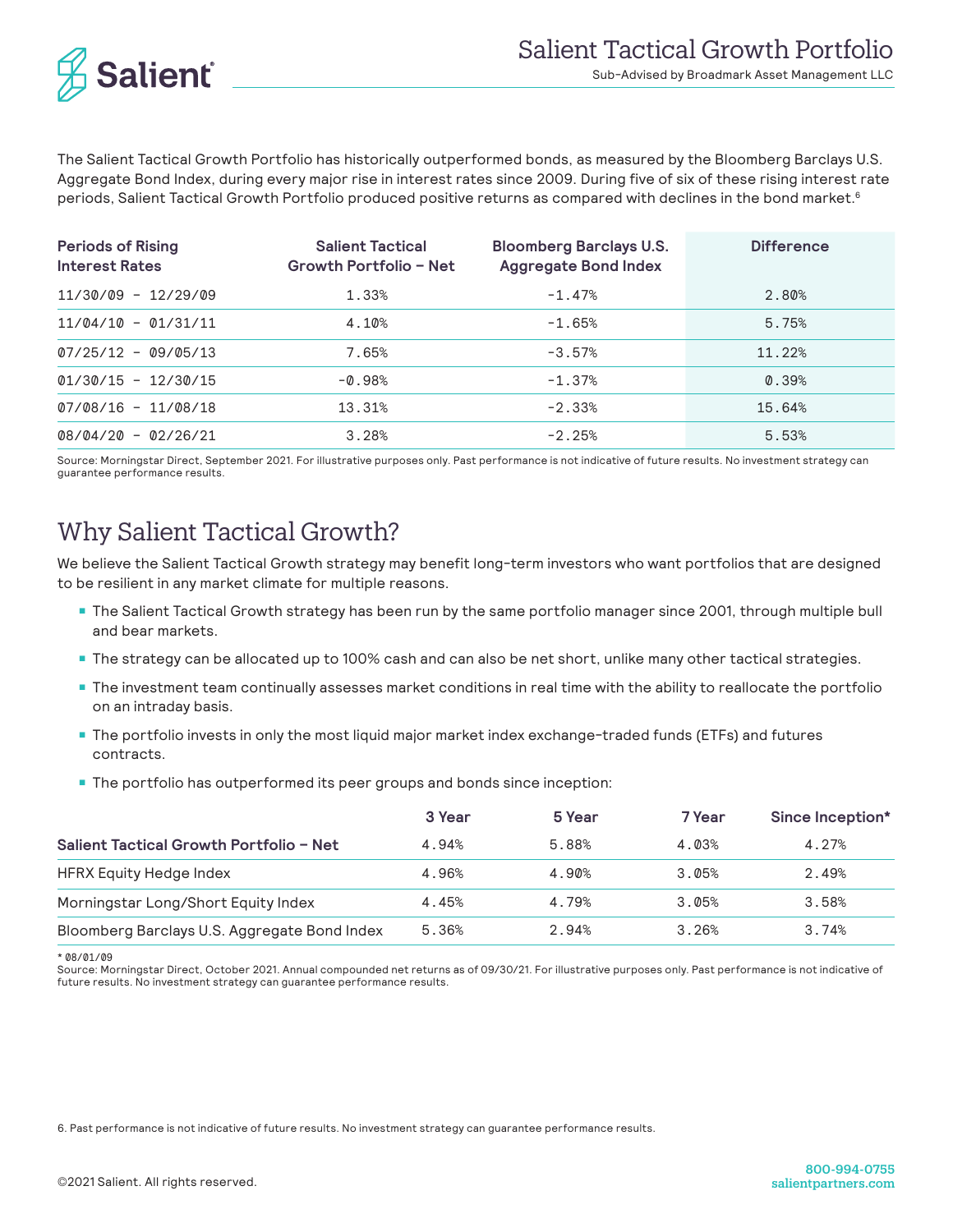

The Salient Tactical Growth Portfolio has historically outperformed bonds, as measured by the Bloomberg Barclays U.S. Aggregate Bond Index, during every major rise in interest rates since 2009. During five of six of these rising interest rate periods, Salient Tactical Growth Portfolio produced positive returns as compared with declines in the bond market.<sup>6</sup>

| <b>Periods of Rising</b><br><b>Interest Rates</b> | <b>Salient Tactical</b><br>Growth Portfolio - Net | <b>Bloomberg Barclays U.S.</b><br><b>Aggregate Bond Index</b> | <b>Difference</b> |
|---------------------------------------------------|---------------------------------------------------|---------------------------------------------------------------|-------------------|
| $11/30/09 - 12/29/09$                             | 1.33%                                             | $-1.47%$                                                      | 2.80%             |
| $11/04/10 - 01/31/11$                             | 4.10%                                             | $-1.65%$                                                      | 5.75%             |
| $07/25/12 - 09/05/13$                             | 7.65%                                             | $-3.57%$                                                      | 11.22%            |
| $01/30/15 - 12/30/15$                             | $-0.98%$                                          | $-1.37%$                                                      | 0.39%             |
| $07/08/16 - 11/08/18$                             | 13.31%                                            | $-2.33%$                                                      | 15.64%            |
| $08/04/20 - 02/26/21$                             | 3.28%                                             | $-2.25%$                                                      | 5.53%             |

Source: Morningstar Direct, September 2021. For illustrative purposes only. Past performance is not indicative of future results. No investment strategy can guarantee performance results.

## Why Salient Tactical Growth?

We believe the Salient Tactical Growth strategy may benefit long-term investors who want portfolios that are designed to be resilient in any market climate for multiple reasons.

- The Salient Tactical Growth strategy has been run by the same portfolio manager since 2001, through multiple bull and bear markets.
- The strategy can be allocated up to 100% cash and can also be net short, unlike many other tactical strategies.
- The investment team continually assesses market conditions in real time with the ability to reallocate the portfolio on an intraday basis.
- The portfolio invests in only the most liquid major market index exchange-traded funds (ETFs) and futures contracts.
- The portfolio has outperformed its peer groups and bonds since inception:

|                                              | 3 Year | 5 Year | 7 Year | Since Inception* |
|----------------------------------------------|--------|--------|--------|------------------|
| Salient Tactical Growth Portfolio – Net      | 4.94%  | 5.88%  | 4.03%  | 4.27%            |
| HFRX Equity Hedge Index                      | 4.96%  | 4.90%  | 3.05%  | 2.49%            |
| Morningstar Long/Short Equity Index          | 4.45%  | 4.79%  | 3.05%  | 3.58%            |
| Bloomberg Barclays U.S. Aggregate Bond Index | 5.36%  | 2.94%  | 3.26%  | 3.74%            |

\* 08/01/09

Source: Morningstar Direct, October 2021. Annual compounded net returns as of 09/30/21. For illustrative purposes only. Past performance is not indicative of future results. No investment strategy can guarantee performance results.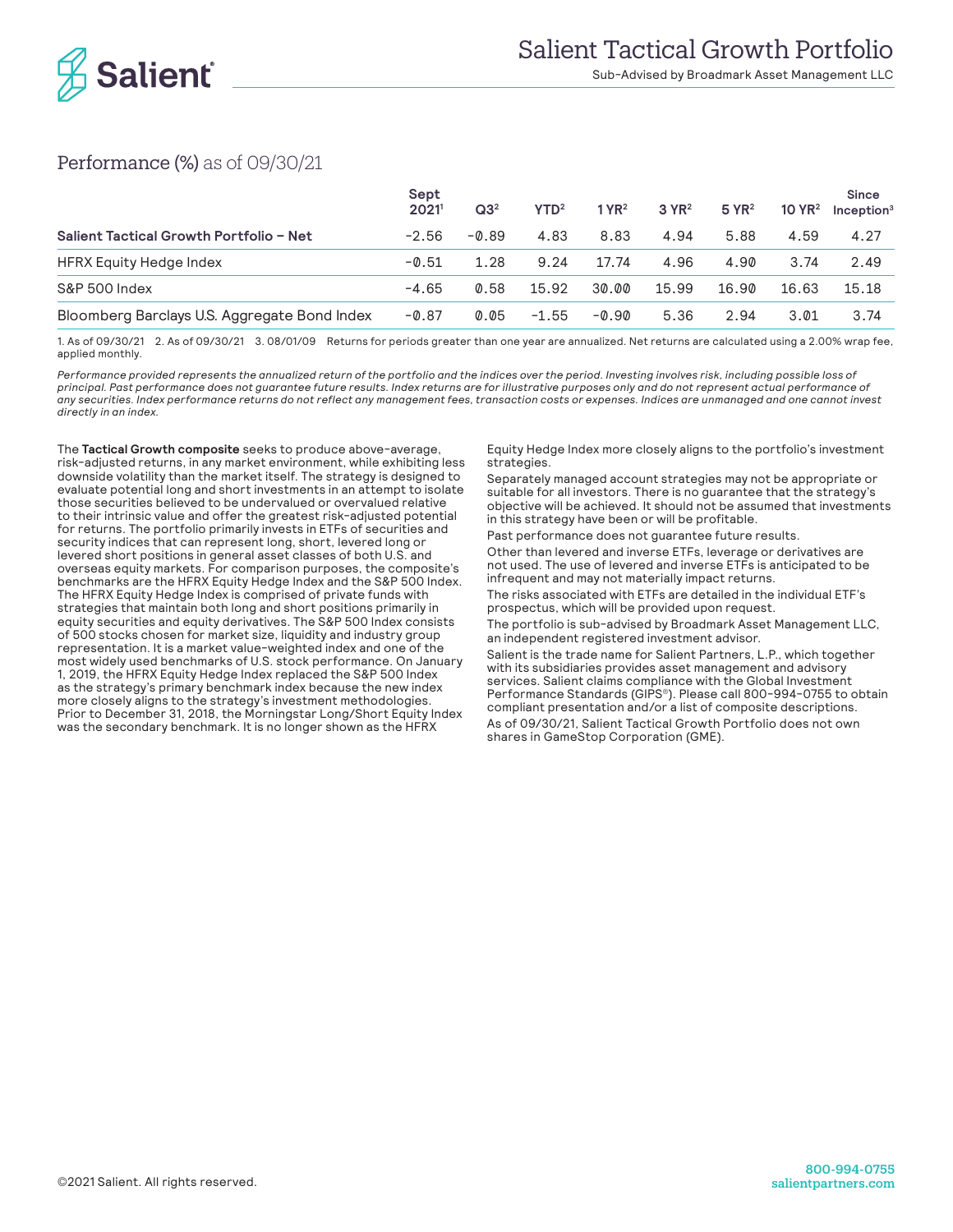

Sub-Advised by Broadmark Asset Management LLC

#### Performance (%) as of 09/30/21

|                                              | Sept<br>2021 | Q3 <sup>2</sup> | YTD <sup>2</sup> | 1 Y R <sup>2</sup> | 3 YR <sup>2</sup> | $5$ YR <sup>2</sup> | 10 $YR2$ | <b>Since</b><br>Inception <sup>3</sup> |
|----------------------------------------------|--------------|-----------------|------------------|--------------------|-------------------|---------------------|----------|----------------------------------------|
| Salient Tactical Growth Portfolio - Net      | $-2.56$      | -0.89           | 4.83             | 8.83               | 4.94              | 5.88                | 4.59     | 4.27                                   |
| HFRX Equity Hedge Index                      | $-0.51$      | 1.28            | 9.24             | 17.74              | 4.96              | 4.90                | 3.74     | 2.49                                   |
| S&P 500 Index                                | $-4.65$      | 0.58            | 15.92            | 30.00              | 15.99             | 16.90               | 16.63    | 15.18                                  |
| Bloomberg Barclays U.S. Aggregate Bond Index | $-0.87$      | 0.05            | $-1.55$          | $-0.90$            | 5.36              | 2.94                | 3.01     | 3.74                                   |

1. As of 09/30/21 2. As of 09/30/21 3. 08/01/09 Returns for periods greater than one year are annualized. Net returns are calculated using a 2.00% wrap fee, applied monthly.

*Performance provided represents the annualized return of the portfolio and the indices over the period. Investing involves risk, including possible loss of principal. Past performance does not guarantee future results. Index returns are for illustrative purposes only and do not represent actual performance of any securities. Index performance returns do not reflect any management fees, transaction costs or expenses. Indices are unmanaged and one cannot invest directly in an index.*

The **Tactical Growth composite** seeks to produce above-average, risk-adjusted returns, in any market environment, while exhibiting less downside volatility than the market itself. The strategy is designed to evaluate potential long and short investments in an attempt to isolate those securities believed to be undervalued or overvalued relative to their intrinsic value and offer the greatest risk-adjusted potential for returns. The portfolio primarily invests in ETFs of securities and security indices that can represent long, short, levered long or levered short positions in general asset classes of both U.S. and overseas equity markets. For comparison purposes, the composite's benchmarks are the HFRX Equity Hedge Index and the S&P 500 Index. The HFRX Equity Hedge Index is comprised of private funds with strategies that maintain both long and short positions primarily in equity securities and equity derivatives. The S&P 500 Index consists of 500 stocks chosen for market size, liquidity and industry group representation. It is a market value-weighted index and one of the most widely used benchmarks of U.S. stock performance. On January 1, 2019, the HFRX Equity Hedge Index replaced the S&P 500 Index as the strategy's primary benchmark index because the new index more closely aligns to the strategy's investment methodologies. Prior to December 31, 2018, the Morningstar Long/Short Equity Index was the secondary benchmark. It is no longer shown as the HFRX

Equity Hedge Index more closely aligns to the portfolio's investment strategies.

Separately managed account strategies may not be appropriate or suitable for all investors. There is no guarantee that the strategy's objective will be achieved. It should not be assumed that investments in this strategy have been or will be profitable.

Past performance does not guarantee future results.

Other than levered and inverse ETFs, leverage or derivatives are not used. The use of levered and inverse ETFs is anticipated to be infrequent and may not materially impact returns.

The risks associated with ETFs are detailed in the individual ETF's prospectus, which will be provided upon request.

The portfolio is sub-advised by Broadmark Asset Management LLC, an independent registered investment advisor.

Salient is the trade name for Salient Partners, L.P., which together with its subsidiaries provides asset management and advisory services. Salient claims compliance with the Global Investment Performance Standards (GIPS®). Please call 800-994-0755 to obtain compliant presentation and/or a list of composite descriptions. As of 09/30/21, Salient Tactical Growth Portfolio does not own shares in GameStop Corporation (GME).